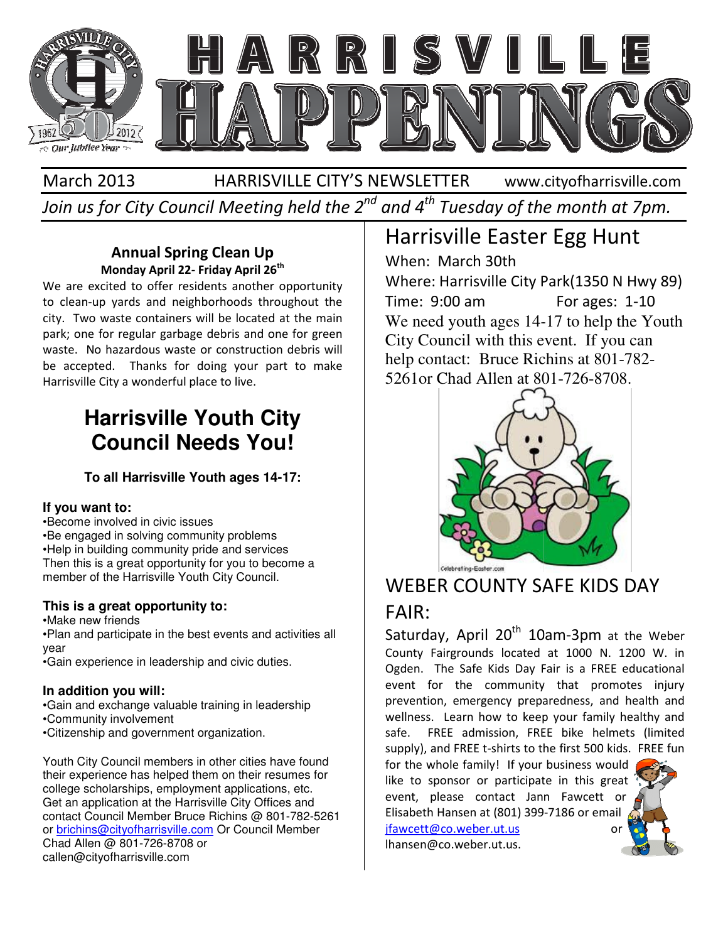

#### March 2013 HARRISVILLE CITY'S NEWSLETTER Join us for City Council Meeting held the 2<sup>nd</sup> and 4<sup>th</sup> Tuesday of the month at 7pm. www.cityofharrisville.com

#### Annual Spring Clean Up Annual Spring Monday April 22- Friday April 26<sup>th</sup>

We are excited to offer residents another opportunity to clean-up yards and neighborhoods throughout the city. Two waste containers will be located at the main park; one for regular garbage debris and one for green waste. No hazardous waste or construction debris will be accepted. Thanks for doing your part to make Harrisville City a wonderful place to live.

## **Harrisville Youth City Council Needs You!**

**To all Harrisville Youth ages 14 14-17:** 

#### **If you want to:**

•Become involved in civic issues •Be engaged in solving community problems •Help in building community pride and services Then this is a great opportunity for you to become a member of the Harrisville Youth City Council. e engaged in solving community problems<br>elp in building community pride and services<br>en this is a great opportunity for you to become a<br>smber of the Harrisville Youth City Council.<br>**ins is a great opportunity to:**<br>lake new

#### **This is a great opportunity to:**

•Make new friends

•Plan and participate in the best events and activities all year

•Gain experience in leadership and civic duties.

#### **In addition you will:**

•Gain and exchange valuable training in leadership

- •Community involvement
- •Citizenship and government organization.

Youth City Council members in other cities have found their experience has helped them on their resumes for college scholarships, employment applications, etc. Get an application at the Harrisville City Offices and Get an application at the Harrisville City Offices and<br>contact Council Member Bruce Richins @ 801-782-5261 or brichins@cityofharrisville.com Or Council Member Chad Allen @ 801-726-8708 or callen@cityofharrisville.com

## Harrisville Easter Egg Hunt

When: March 30th Where: Harrisville City Park(1350 N Hwy 89) Time: 9:00 am We need youth ages 14-17 to help the Youth City Council with this event. If you can help contact: Bruce Richins at 801-782-5261 or Chad Allen at 801-726-8708. For ages: 1-10



### WEBER COUNTY SAFE KIDS DAY

### FAIR:

Saturday, April 20<sup>th</sup> 10am-3pm at the Weber County Fairgrounds located at 1000 N. 1200 W. in Ogden. The Safe Kids Day Fair is a FREE educational event for the community that promotes injury prevention, emergency preparedness, and health and wellness. Learn how to keep your family healthy and safe. FREE admission, FREE bike helmets (limited supply), and FREE t-shirts to the first 500 kids. FREE fun

for the whole family! If your business would like to sponsor or participate in this great event, please contact Jann Fawcett or Elisabeth Hansen at (801) 399 jfawcett@co.weber.ut.us whole family! If your business would<br>sponsor or participate in this grea<br>please contact Jann Fawcett or<br>th Hansen at (801) 399-7186 or email or

lhansen@co.weber.ut.us.